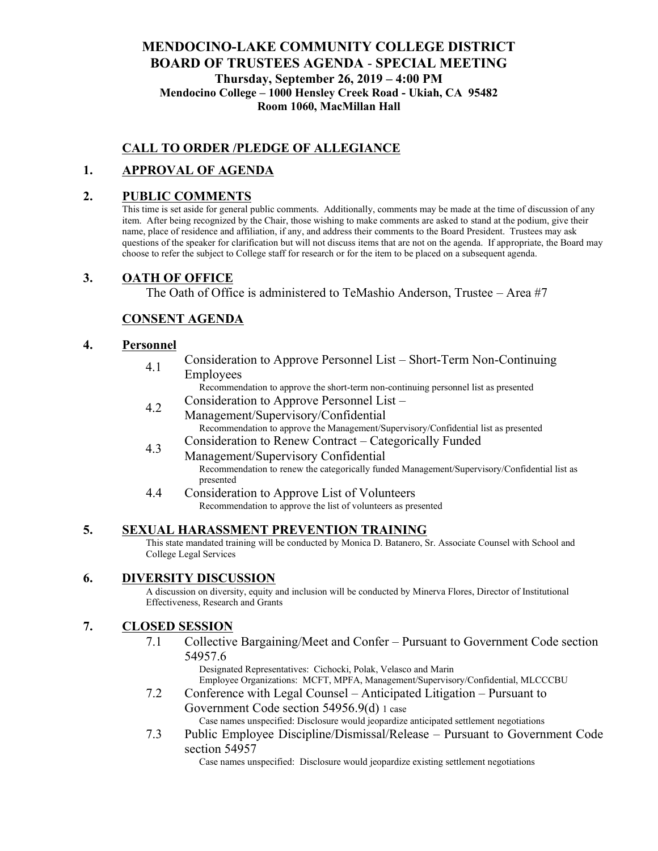## **MENDOCINO-LAKE COMMUNITY COLLEGE DISTRICT BOARD OF TRUSTEES AGENDA** - **SPECIAL MEETING Thursday, September 26, 2019 – 4:00 PM Mendocino College – 1000 Hensley Creek Road - Ukiah, CA 95482 Room 1060, MacMillan Hall**

## **CALL TO ORDER /PLEDGE OF ALLEGIANCE**

## **1. APPROVAL OF AGENDA**

### **2. PUBLIC COMMENTS**

This time is set aside for general public comments. Additionally, comments may be made at the time of discussion of any item. After being recognized by the Chair, those wishing to make comments are asked to stand at the podium, give their name, place of residence and affiliation, if any, and address their comments to the Board President. Trustees may ask questions of the speaker for clarification but will not discuss items that are not on the agenda. If appropriate, the Board may choose to refer the subject to College staff for research or for the item to be placed on a subsequent agenda.

### **3. OATH OF OFFICE**

The Oath of Office is administered to TeMashio Anderson, Trustee – Area #7

### **CONSENT AGENDA**

### **4. Personnel**

4.1 Consideration to Approve Personnel List – Short-Term Non-Continuing Employees

Recommendation to approve the short-term non-continuing personnel list as presented 4.2 Consideration to Approve Personnel List –

- Management/Supervisory/Confidential Recommendation to approve the Management/Supervisory/Confidential list as presented
- 4.3 Consideration to Renew Contract Categorically Funded Management/Supervisory Confidential Recommendation to renew the categorically funded Management/Supervisory/Confidential list as presented
- 4.4 Consideration to Approve List of Volunteers Recommendation to approve the list of volunteers as presented

### **5. SEXUAL HARASSMENT PREVENTION TRAINING**

This state mandated training will be conducted by Monica D. Batanero, Sr. Associate Counsel with School and College Legal Services

### **6. DIVERSITY DISCUSSION**

A discussion on diversity, equity and inclusion will be conducted by Minerva Flores, Director of Institutional Effectiveness, Research and Grants

### **7. CLOSED SESSION**

7.1 Collective Bargaining/Meet and Confer – Pursuant to Government Code section 54957.6

Designated Representatives: Cichocki, Polak, Velasco and Marin Employee Organizations: MCFT, MPFA, Management/Supervisory/Confidential, MLCCCBU

7.2 Conference with Legal Counsel – Anticipated Litigation – Pursuant to Government Code section 54956.9(d) 1 case

Case names unspecified: Disclosure would jeopardize anticipated settlement negotiations

7.3 Public Employee Discipline/Dismissal/Release – Pursuant to Government Code section 54957

Case names unspecified: Disclosure would jeopardize existing settlement negotiations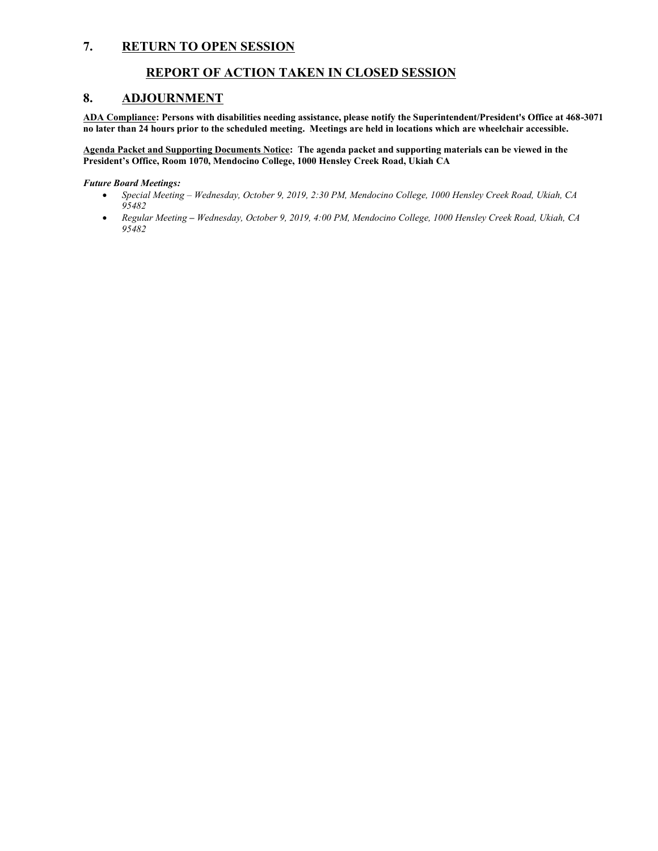### **7. RETURN TO OPEN SESSION**

### **REPORT OF ACTION TAKEN IN CLOSED SESSION**

### **8. ADJOURNMENT**

**ADA Compliance: Persons with disabilities needing assistance, please notify the Superintendent/President's Office at 468-3071 no later than 24 hours prior to the scheduled meeting. Meetings are held in locations which are wheelchair accessible.**

**Agenda Packet and Supporting Documents Notice: The agenda packet and supporting materials can be viewed in the President's Office, Room 1070, Mendocino College, 1000 Hensley Creek Road, Ukiah CA** 

#### *Future Board Meetings:*

- *Special Meeting – Wednesday, October 9, 2019, 2:30 PM, Mendocino College, 1000 Hensley Creek Road, Ukiah, CA 95482*
- *Regular Meeting – Wednesday, October 9, 2019, 4:00 PM, Mendocino College, 1000 Hensley Creek Road, Ukiah, CA 95482*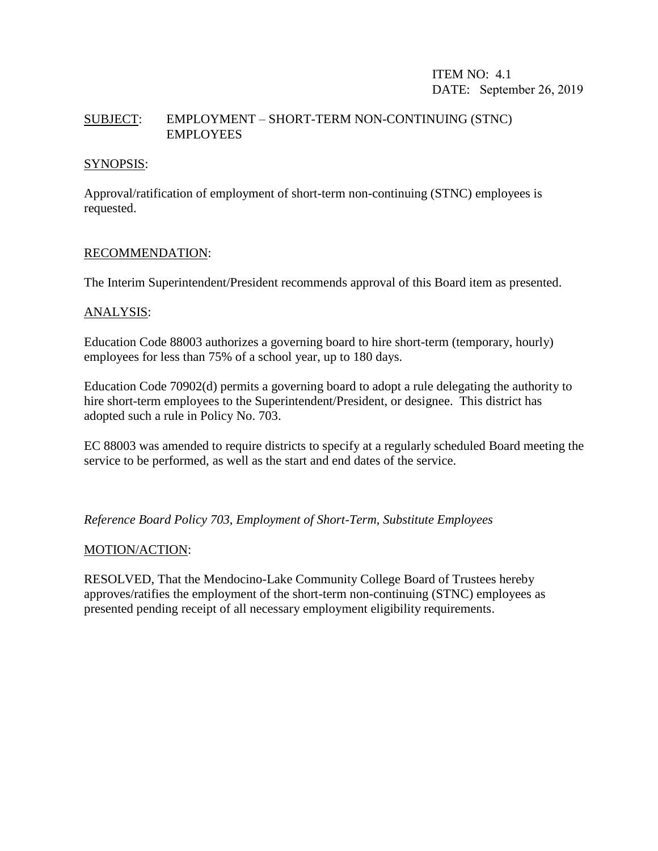## ITEM NO: 4.1 DATE: September 26, 2019

## SUBJECT: EMPLOYMENT – SHORT-TERM NON-CONTINUING (STNC) EMPLOYEES

### SYNOPSIS:

Approval/ratification of employment of short-term non-continuing (STNC) employees is requested.

### RECOMMENDATION:

The Interim Superintendent/President recommends approval of this Board item as presented.

### ANALYSIS:

Education Code 88003 authorizes a governing board to hire short-term (temporary, hourly) employees for less than 75% of a school year, up to 180 days.

Education Code 70902(d) permits a governing board to adopt a rule delegating the authority to hire short-term employees to the Superintendent/President, or designee. This district has adopted such a rule in Policy No. 703.

EC 88003 was amended to require districts to specify at a regularly scheduled Board meeting the service to be performed, as well as the start and end dates of the service.

*Reference Board Policy 703, Employment of Short-Term, Substitute Employees*

### MOTION/ACTION:

RESOLVED, That the Mendocino-Lake Community College Board of Trustees hereby approves/ratifies the employment of the short-term non-continuing (STNC) employees as presented pending receipt of all necessary employment eligibility requirements.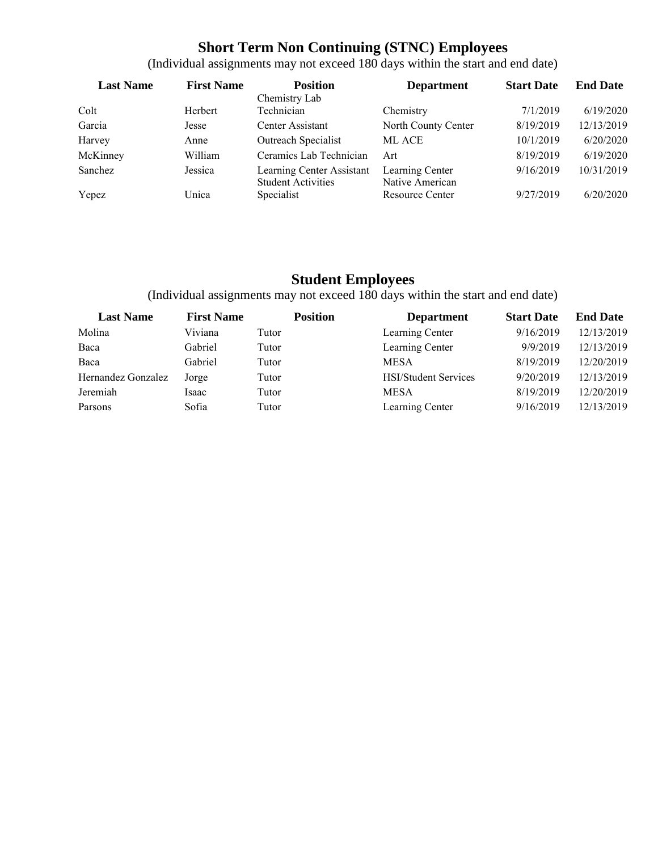# **Short Term Non Continuing (STNC) Employees**

| <b>Last Name</b> | <b>First Name</b> | <b>Position</b>                                        | <b>Department</b>                  | <b>Start Date</b> | <b>End Date</b> |
|------------------|-------------------|--------------------------------------------------------|------------------------------------|-------------------|-----------------|
|                  |                   | Chemistry Lab                                          |                                    |                   |                 |
| Colt             | Herbert           | Technician                                             | Chemistry                          | 7/1/2019          | 6/19/2020       |
| Garcia           | Jesse             | Center Assistant                                       | North County Center                | 8/19/2019         | 12/13/2019      |
| Harvey           | Anne              | Outreach Specialist                                    | <b>ML ACE</b>                      | 10/1/2019         | 6/20/2020       |
| McKinney         | William           | Ceramics Lab Technician                                | Art                                | 8/19/2019         | 6/19/2020       |
| Sanchez          | Jessica           | Learning Center Assistant<br><b>Student Activities</b> | Learning Center<br>Native American | 9/16/2019         | 10/31/2019      |
| Yepez            | Unica             | Specialist                                             | Resource Center                    | 9/27/2019         | 6/20/2020       |

(Individual assignments may not exceed 180 days within the start and end date)

# **Student Employees**

(Individual assignments may not exceed 180 days within the start and end date)

| <b>Last Name</b>   | <b>First Name</b> | <b>Position</b> | <b>Department</b>           | <b>Start Date</b> | <b>End Date</b> |
|--------------------|-------------------|-----------------|-----------------------------|-------------------|-----------------|
| Molina             | Viviana           | Tutor           | Learning Center             | 9/16/2019         | 12/13/2019      |
| Baca               | Gabriel           | Tutor           | Learning Center             | 9/9/2019          | 12/13/2019      |
| Baca               | Gabriel           | Tutor           | <b>MESA</b>                 | 8/19/2019         | 12/20/2019      |
| Hernandez Gonzalez | Jorge             | Tutor           | <b>HSI/Student Services</b> | 9/20/2019         | 12/13/2019      |
| Jeremiah           | Isaac             | Tutor           | <b>MESA</b>                 | 8/19/2019         | 12/20/2019      |
| Parsons            | Sofia             | Tutor           | Learning Center             | 9/16/2019         | 12/13/2019      |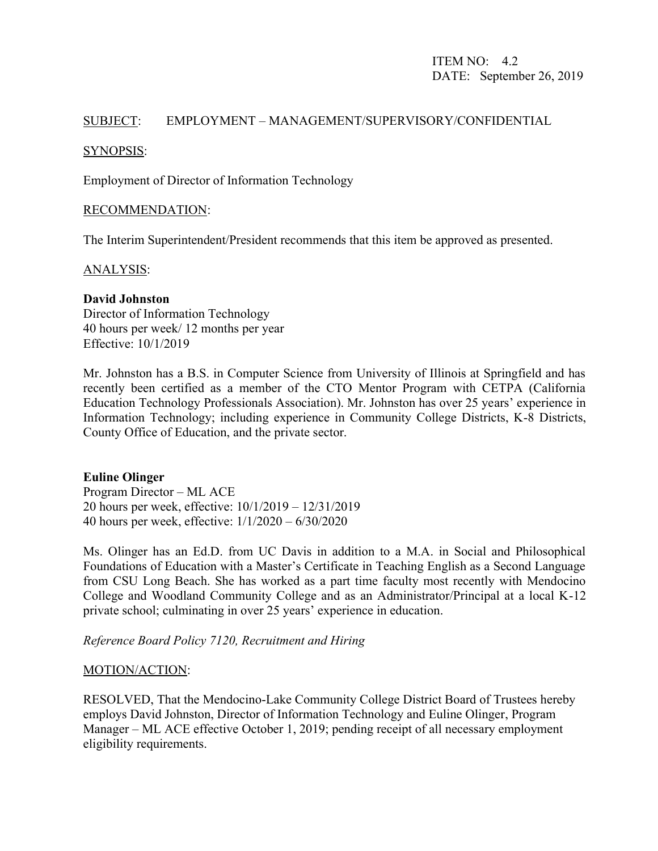## SUBJECT: EMPLOYMENT – MANAGEMENT/SUPERVISORY/CONFIDENTIAL

### SYNOPSIS:

Employment of Director of Information Technology

### RECOMMENDATION:

The Interim Superintendent/President recommends that this item be approved as presented.

### ANALYSIS:

### **David Johnston**

Director of Information Technology 40 hours per week/ 12 months per year Effective: 10/1/2019

Mr. Johnston has a B.S. in Computer Science from University of Illinois at Springfield and has recently been certified as a member of the CTO Mentor Program with CETPA (California Education Technology Professionals Association). Mr. Johnston has over 25 years' experience in Information Technology; including experience in Community College Districts, K-8 Districts, County Office of Education, and the private sector.

### **Euline Olinger**

Program Director – ML ACE 20 hours per week, effective: 10/1/2019 – 12/31/2019 40 hours per week, effective: 1/1/2020 – 6/30/2020

Ms. Olinger has an Ed.D. from UC Davis in addition to a M.A. in Social and Philosophical Foundations of Education with a Master's Certificate in Teaching English as a Second Language from CSU Long Beach. She has worked as a part time faculty most recently with Mendocino College and Woodland Community College and as an Administrator/Principal at a local K-12 private school; culminating in over 25 years' experience in education.

*Reference Board Policy 7120, Recruitment and Hiring*

### MOTION/ACTION:

RESOLVED, That the Mendocino-Lake Community College District Board of Trustees hereby employs David Johnston, Director of Information Technology and Euline Olinger, Program Manager – ML ACE effective October 1, 2019; pending receipt of all necessary employment eligibility requirements.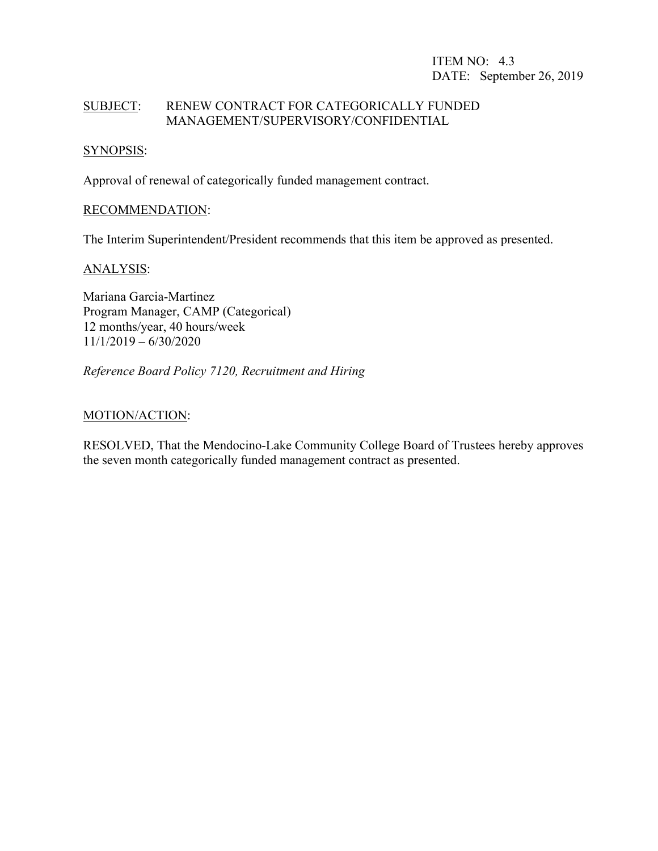## ITEM NO: 4.3 DATE: September 26, 2019

## SUBJECT: RENEW CONTRACT FOR CATEGORICALLY FUNDED MANAGEMENT/SUPERVISORY/CONFIDENTIAL

### SYNOPSIS:

Approval of renewal of categorically funded management contract.

### RECOMMENDATION:

The Interim Superintendent/President recommends that this item be approved as presented.

### ANALYSIS:

Mariana Garcia-Martinez Program Manager, CAMP (Categorical) 12 months/year, 40 hours/week 11/1/2019 – 6/30/2020

*Reference Board Policy 7120, Recruitment and Hiring*

### MOTION/ACTION:

RESOLVED, That the Mendocino-Lake Community College Board of Trustees hereby approves the seven month categorically funded management contract as presented.